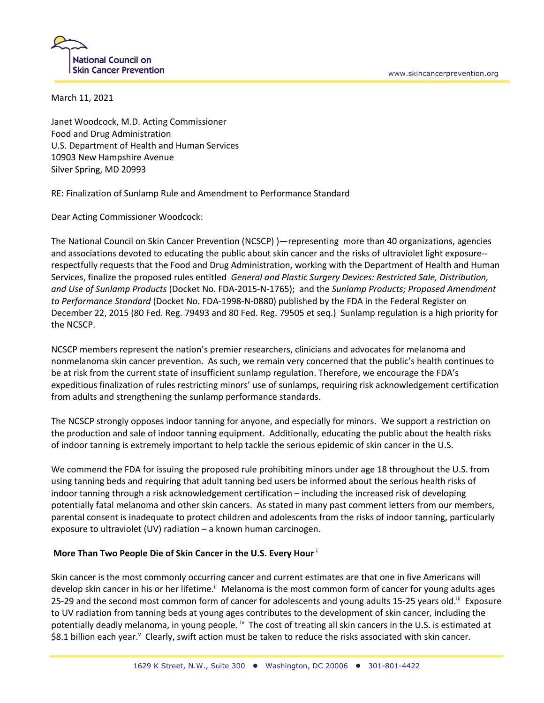

March 11, 2021

Janet Woodcock, M.D. Acting Commissioner Food and Drug Administration U.S. Department of Health and Human Services 10903 New Hampshire Avenue Silver Spring, MD 20993

RE: Finalization of Sunlamp Rule and Amendment to Performance Standard

Dear Acting Commissioner Woodcock:

The National Council on Skin Cancer Prevention (NCSCP) )—representing more than 40 organizations, agencies and associations devoted to educating the public about skin cancer and the risks of ultraviolet light exposure- respectfully requests that the Food and Drug Administration, working with the Department of Health and Human Services, finalize the proposed rules entitled *General and Plastic Surgery Devices: Restricted Sale, Distribution, and Use of Sunlamp Products* (Docket No. FDA-2015-N-1765); and the *Sunlamp Products; Proposed Amendment to Performance Standard* (Docket No. FDA-1998-N-0880) published by the FDA in the Federal Register on December 22, 2015 (80 Fed. Reg. 79493 and 80 Fed. Reg. 79505 et seq.) Sunlamp regulation is a high priority for the NCSCP.

NCSCP members represent the nation's premier researchers, clinicians and advocates for melanoma and nonmelanoma skin cancer prevention. As such, we remain very concerned that the public's health continues to be at risk from the current state of insufficient sunlamp regulation. Therefore, we encourage the FDA's expeditious finalization of rules restricting minors' use of sunlamps, requiring risk acknowledgement certification from adults and strengthening the sunlamp performance standards.

The NCSCP strongly opposes indoor tanning for anyone, and especially for minors. We support a restriction on the production and sale of indoor tanning equipment. Additionally, educating the public about the health risks of indoor tanning is extremely important to help tackle the serious epidemic of skin cancer in the U.S.

We commend the FDA for issuing the proposed rule prohibiting minors under age 18 throughout the U.S. from using tanning beds and requiring that adult tanning bed users be informed about the serious health risks of indoor tanning through a risk acknowledgement certification – including the increased risk of developing potentially fatal melanoma and other skin cancers. As stated in many past comment letters from our members, parental consent is inadequate to protect children and adolescents from the risks of indoor tanning, particularly exposure to ultraviolet (UV) radiation – a known human carcinogen.

## **More Than Two People Die of Skin Cancer in the U.S. Every Hour <sup>i</sup>**

Skin cancer is the most commonly occurring cancer and current estimates are that one in five Americans will develop skin cancer in his or her lifetime.<sup>ii</sup> Melanoma is the most common form of cancer for young adults ages 25-29 and the second most common form of cancer for adolescents and young adults 15-25 years old.<sup>iii</sup> Exposure to UV radiation from tanning beds at young ages contributes to the development of skin cancer, including the potentially deadly melanoma, in young people. <sup>iv</sup> The cost of treating all skin cancers in the U.S. is estimated at \$8.1 billion each year.<sup>v</sup> Clearly, swift action must be taken to reduce the risks associated with skin cancer.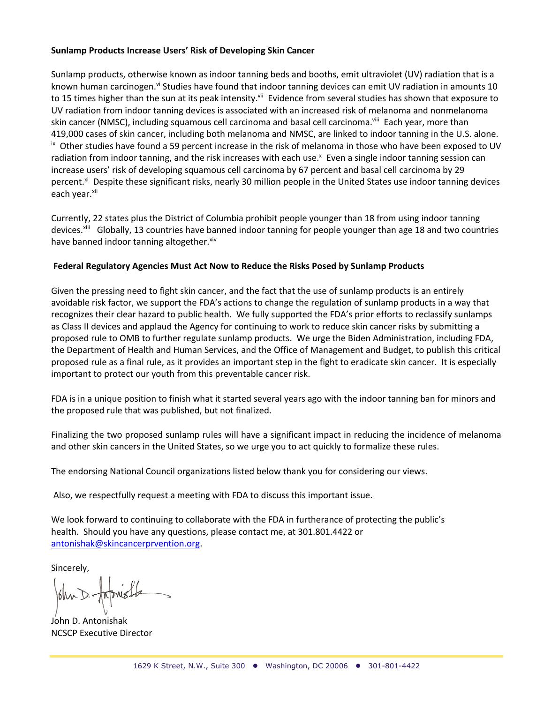## **Sunlamp Products Increase Users' Risk of Developing Skin Cancer**

Sunlamp products, otherwise known as indoor tanning beds and booths, emit ultraviolet (UV) radiation that is a known human carcinogen.<sup>vi</sup> Studies have found that indoor tanning devices can emit UV radiation in amounts 10 to 15 times higher than the sun at its peak intensity.<sup>vii</sup> Evidence from several studies has shown that exposure to UV radiation from indoor tanning devices is associated with an increased risk of melanoma and nonmelanoma skin cancer (NMSC), including squamous cell carcinoma and basal cell carcinoma.<sup>viii</sup> Each year, more than 419,000 cases of skin cancer, including both melanoma and NMSC, are linked to indoor tanning in the U.S. alone. <sup>ix</sup> Other studies have found a 59 percent increase in the risk of melanoma in those who have been exposed to UV radiation from indoor tanning, and the risk increases with each use.<sup>x</sup> Even a single indoor tanning session can increase users' risk of developing squamous cell carcinoma by 67 percent and basal cell carcinoma by 29 percent.<sup>xi</sup> Despite these significant risks, nearly 30 million people in the United States use indoor tanning devices each year.xii

Currently, 22 states plus the District of Columbia prohibit people younger than 18 from using indoor tanning devices.<sup>xiii</sup> Globally, 13 countries have banned indoor tanning for people younger than age 18 and two countries have banned indoor tanning altogether.<sup>xiv</sup>

## **Federal Regulatory Agencies Must Act Now to Reduce the Risks Posed by Sunlamp Products**

Given the pressing need to fight skin cancer, and the fact that the use of sunlamp products is an entirely avoidable risk factor, we support the FDA's actions to change the regulation of sunlamp products in a way that recognizes their clear hazard to public health. We fully supported the FDA's prior efforts to reclassify sunlamps as Class II devices and applaud the Agency for continuing to work to reduce skin cancer risks by submitting a proposed rule to OMB to further regulate sunlamp products. We urge the Biden Administration, including FDA, the Department of Health and Human Services, and the Office of Management and Budget, to publish this critical proposed rule as a final rule, as it provides an important step in the fight to eradicate skin cancer. It is especially important to protect our youth from this preventable cancer risk.

FDA is in a unique position to finish what it started several years ago with the indoor tanning ban for minors and the proposed rule that was published, but not finalized.

Finalizing the two proposed sunlamp rules will have a significant impact in reducing the incidence of melanoma and other skin cancers in the United States, so we urge you to act quickly to formalize these rules.

The endorsing National Council organizations listed below thank you for considering our views.

Also, we respectfully request a meeting with FDA to discuss this important issue.

We look forward to continuing to collaborate with the FDA in furtherance of protecting the public's health. Should you have any questions, please contact me, at 301.801.4422 or antonishak@skincancerprvention.org.

Sincerely,

John D. Antonishak NCSCP Executive Director